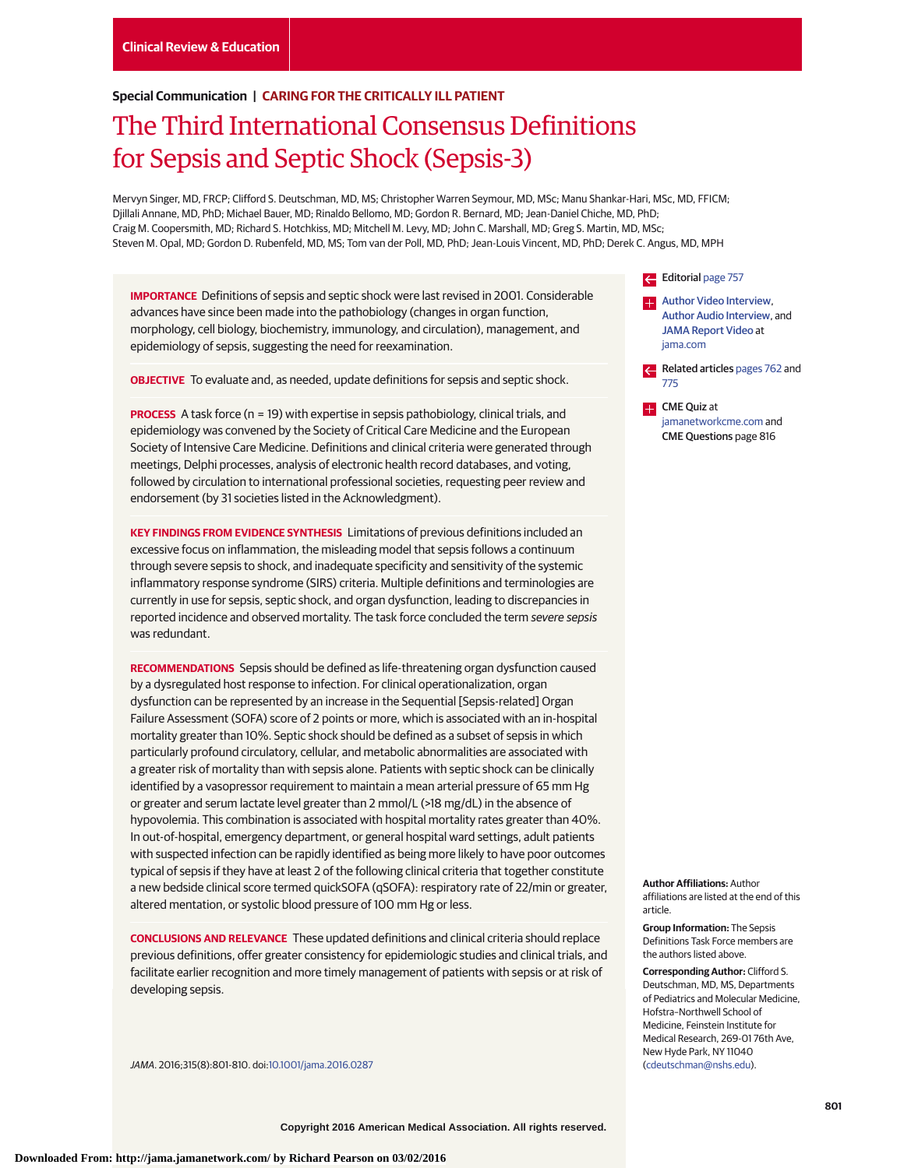# **Special Communication | CARING FOR THE CRITICALLY ILL PATIENT**

# The Third International Consensus Definitions for Sepsis and Septic Shock (Sepsis-3)

Mervyn Singer, MD, FRCP; Clifford S. Deutschman, MD, MS; Christopher Warren Seymour, MD, MSc; Manu Shankar-Hari, MSc, MD, FFICM; Djillali Annane, MD, PhD; Michael Bauer, MD; Rinaldo Bellomo, MD; Gordon R. Bernard, MD; Jean-Daniel Chiche, MD, PhD; Craig M. Coopersmith, MD; Richard S. Hotchkiss, MD; Mitchell M. Levy, MD; John C. Marshall, MD; Greg S. Martin, MD, MSc; Steven M. Opal, MD; Gordon D. Rubenfeld, MD, MS; Tom van der Poll, MD, PhD; Jean-Louis Vincent, MD, PhD; Derek C. Angus, MD, MPH

**IMPORTANCE** Definitions of sepsis and septic shock were last revised in 2001. Considerable advances have since been made into the pathobiology (changes in organ function, morphology, cell biology, biochemistry, immunology, and circulation), management, and epidemiology of sepsis, suggesting the need for reexamination.

**OBJECTIVE** To evaluate and, as needed, update definitions for sepsis and septic shock.

**PROCESS** A task force (n = 19) with expertise in sepsis pathobiology, clinical trials, and epidemiology was convened by the Society of Critical Care Medicine and the European Society of Intensive Care Medicine. Definitions and clinical criteria were generated through meetings, Delphi processes, analysis of electronic health record databases, and voting, followed by circulation to international professional societies, requesting peer review and endorsement (by 31 societies listed in the Acknowledgment).

**KEY FINDINGS FROM EVIDENCE SYNTHESIS** Limitations of previous definitions included an excessive focus on inflammation, the misleading model that sepsis follows a continuum through severe sepsis to shock, and inadequate specificity and sensitivity of the systemic inflammatory response syndrome (SIRS) criteria. Multiple definitions and terminologies are currently in use for sepsis, septic shock, and organ dysfunction, leading to discrepancies in reported incidence and observed mortality. The task force concluded the term severe sepsis was redundant.

**RECOMMENDATIONS** Sepsis should be defined as life-threatening organ dysfunction caused by a dysregulated host response to infection. For clinical operationalization, organ dysfunction can be represented by an increase in the Sequential [Sepsis-related] Organ Failure Assessment (SOFA) score of 2 points or more, which is associated with an in-hospital mortality greater than 10%. Septic shock should be defined as a subset of sepsis in which particularly profound circulatory, cellular, and metabolic abnormalities are associated with a greater risk of mortality than with sepsis alone. Patients with septic shock can be clinically identified by a vasopressor requirement to maintain a mean arterial pressure of 65 mm Hg or greater and serum lactate level greater than 2 mmol/L (>18 mg/dL) in the absence of hypovolemia. This combination is associated with hospital mortality rates greater than 40%. In out-of-hospital, emergency department, or general hospital ward settings, adult patients with suspected infection can be rapidly identified as being more likely to have poor outcomes typical of sepsis if they have at least 2 of the following clinical criteria that together constitute a new bedside clinical score termed quickSOFA (qSOFA): respiratory rate of 22/min or greater, altered mentation, or systolic blood pressure of 100 mm Hg or less.

**CONCLUSIONS AND RELEVANCE** These updated definitions and clinical criteria should replace previous definitions, offer greater consistency for epidemiologic studies and clinical trials, and facilitate earlier recognition and more timely management of patients with sepsis or at risk of developing sepsis.

JAMA. 2016;315(8):801-810. doi[:10.1001/jama.2016.0287](http://jama.jamanetwork.com/article.aspx?doi=10.1001/jama.2016.0287&utm_campaign=articlePDF%26utm_medium=articlePDFlink%26utm_source=articlePDF%26utm_content=jama.2016.0287)

Editorial [page 757](http://jama.jamanetwork.com/article.aspx?doi=10.1001/jama.2016.0290&utm_campaign=articlePDF%26utm_medium=articlePDFlink%26utm_source=articlePDF%26utm_content=jama.2016.0287)

- **[Author Video Interview](http://jama.jamanetwork.com/article.aspx?doi=10.1001/jama.2016.0287&utm_campaign=articlePDF%26utm_medium=articlePDFlink%26utm_source=articlePDF%26utm_content=jama.2016.0287),** [Author Audio Interview](http://jama.jamanetwork.com/article.aspx?doi=10.1001/jama.2016.0287&utm_campaign=articlePDF%26utm_medium=articlePDFlink%26utm_source=articlePDF%26utm_content=jama.2016.0287), and [JAMA Report Video](http://jama.jamanetwork.com/article.aspx?doi=10.1001/jama.2016.0287&utm_campaign=articlePDF%26utm_medium=articlePDFlink%26utm_source=articlePDF%26utm_content=jama.2016.0287) at [jama.com](http://www.)
- Related articles [pages 762](http://jama.jamanetwork.com/article.aspx?doi=10.1001/jama.2016.0288&utm_campaign=articlePDF%26utm_medium=articlePDFlink%26utm_source=articlePDF%26utm_content=jama.2016.0287) and [775](http://jama.jamanetwork.com/article.aspx?doi=10.1001/jama.2016.0289&utm_campaign=articlePDF%26utm_medium=articlePDFlink%26utm_source=articlePDF%26utm_content=jama.2016.0287)
- **CME** Quiz at [jamanetworkcme.com](http://www.jamanetwork.com/cme.aspx?&utm_campaign=articlePDF%26utm_medium=articlePDFlink%26utm_source=articlePDF%26utm_content=jama.2016.0287) and CME Questions page 816

**Author Affiliations:** Author affiliations are listed at the end of this article.

**Group Information:** The Sepsis Definitions Task Force members are the authors listed above.

**Corresponding Author:** Clifford S. Deutschman, MD, MS, Departments of Pediatrics and Molecular Medicine, Hofstra–Northwell School of Medicine, Feinstein Institute for Medical Research, 269-01 76th Ave, New Hyde Park, NY 11040 [\(cdeutschman@nshs.edu\)](mailto:cdeutschman@nshs.edu).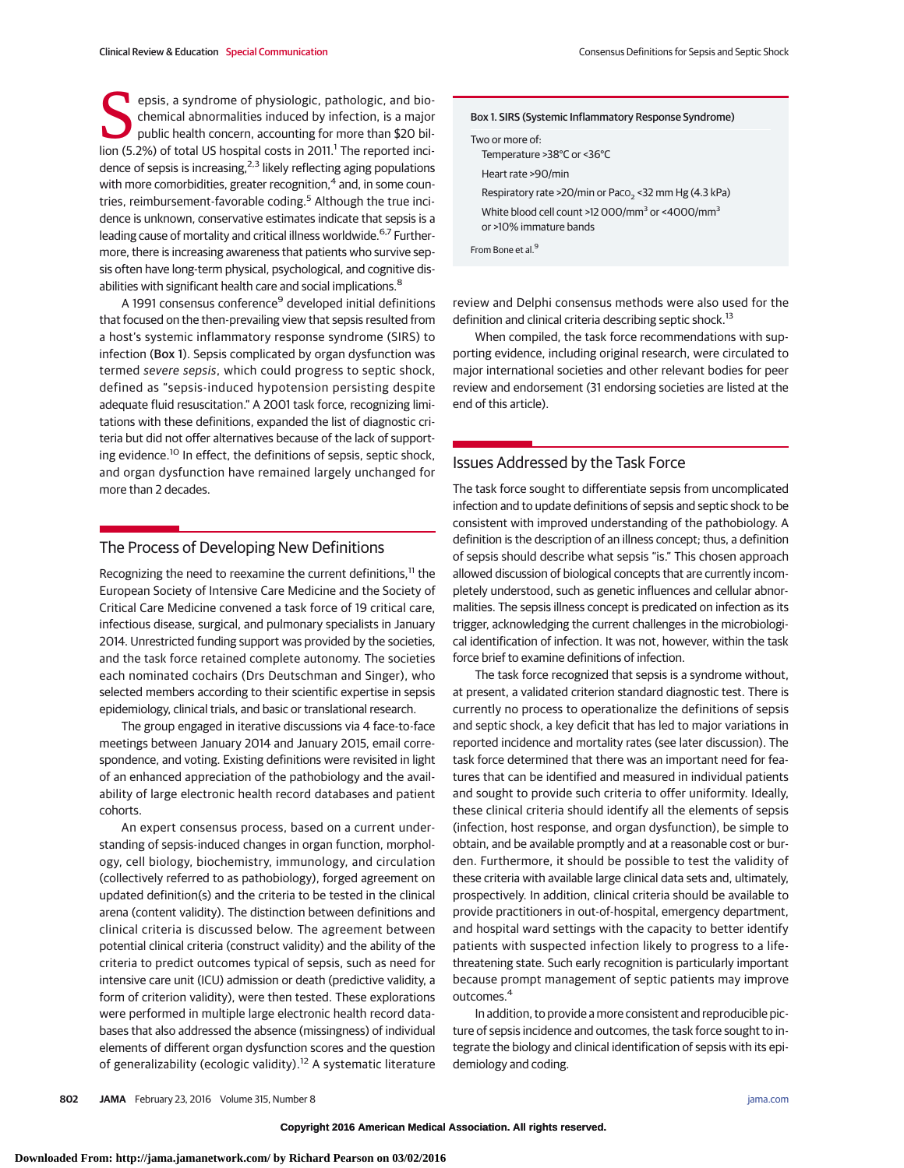**Sepsis, a syndrome of physiologic, pathologic, and bio-**<br>chemical abnormalities induced by infection, is a major<br>public health concern, accounting for more than \$20 bil-<br>lion (5.2%) of total US bospital costs in 2011.<sup>1</sup> chemical abnormalities induced by infection, is a major lion (5.2%) of total US hospital costs in 2011.<sup>1</sup> The reported incidence of sepsis is increasing, $2,3$  likely reflecting aging populations with more comorbidities, greater recognition,<sup>4</sup> and, in some countries, reimbursement-favorable coding.<sup>5</sup> Although the true incidence is unknown, conservative estimates indicate that sepsis is a leading cause of mortality and critical illness worldwide.<sup>6,7</sup> Furthermore, there is increasing awareness that patients who survive sepsis often have long-term physical, psychological, and cognitive disabilities with significant health care and social implications.<sup>8</sup>

A 1991 consensus conference<sup>9</sup> developed initial definitions that focused on the then-prevailing view that sepsis resulted from a host's systemic inflammatory response syndrome (SIRS) to infection (Box 1). Sepsis complicated by organ dysfunction was termed severe sepsis, which could progress to septic shock, defined as "sepsis-induced hypotension persisting despite adequate fluid resuscitation." A 2001 task force, recognizing limitations with these definitions, expanded the list of diagnostic criteria but did not offer alternatives because of the lack of supporting evidence.<sup>10</sup> In effect, the definitions of sepsis, septic shock, and organ dysfunction have remained largely unchanged for more than 2 decades.

# The Process of Developing New Definitions

Recognizing the need to reexamine the current definitions,<sup>11</sup> the European Society of Intensive Care Medicine and the Society of Critical Care Medicine convened a task force of 19 critical care, infectious disease, surgical, and pulmonary specialists in January 2014. Unrestricted funding support was provided by the societies, and the task force retained complete autonomy. The societies each nominated cochairs (Drs Deutschman and Singer), who selected members according to their scientific expertise in sepsis epidemiology, clinical trials, and basic or translational research.

The group engaged in iterative discussions via 4 face-to-face meetings between January 2014 and January 2015, email correspondence, and voting. Existing definitions were revisited in light of an enhanced appreciation of the pathobiology and the availability of large electronic health record databases and patient cohorts.

An expert consensus process, based on a current understanding of sepsis-induced changes in organ function, morphology, cell biology, biochemistry, immunology, and circulation (collectively referred to as pathobiology), forged agreement on updated definition(s) and the criteria to be tested in the clinical arena (content validity). The distinction between definitions and clinical criteria is discussed below. The agreement between potential clinical criteria (construct validity) and the ability of the criteria to predict outcomes typical of sepsis, such as need for intensive care unit (ICU) admission or death (predictive validity, a form of criterion validity), were then tested. These explorations were performed in multiple large electronic health record databases that also addressed the absence (missingness) of individual elements of different organ dysfunction scores and the question of generalizability (ecologic validity).<sup>12</sup> A systematic literature

| Box 1. SIRS (Systemic Inflammatory Response Syndrome)                                             |  |  |  |  |
|---------------------------------------------------------------------------------------------------|--|--|--|--|
| Two or more of:<br>Temperature > 38°C or < 36°C                                                   |  |  |  |  |
| Heart rate >90/min                                                                                |  |  |  |  |
| Respiratory rate >20/min or Paco, <32 mm Hg $(4.3 \text{ kPa})$                                   |  |  |  |  |
| White blood cell count >12 000/mm <sup>3</sup> or <4000/mm <sup>3</sup><br>or >10% immature bands |  |  |  |  |
| From Bone et al. <sup>9</sup>                                                                     |  |  |  |  |

review and Delphi consensus methods were also used for the definition and clinical criteria describing septic shock.<sup>13</sup>

When compiled, the task force recommendations with supporting evidence, including original research, were circulated to major international societies and other relevant bodies for peer review and endorsement (31 endorsing societies are listed at the end of this article).

# Issues Addressed by the Task Force

The task force sought to differentiate sepsis from uncomplicated infection and to update definitions of sepsis and septic shock to be consistent with improved understanding of the pathobiology. A definition is the description of an illness concept; thus, a definition of sepsis should describe what sepsis "is." This chosen approach allowed discussion of biological concepts that are currently incompletely understood, such as genetic influences and cellular abnormalities. The sepsis illness concept is predicated on infection as its trigger, acknowledging the current challenges in the microbiological identification of infection. It was not, however, within the task force brief to examine definitions of infection.

The task force recognized that sepsis is a syndrome without, at present, a validated criterion standard diagnostic test. There is currently no process to operationalize the definitions of sepsis and septic shock, a key deficit that has led to major variations in reported incidence and mortality rates (see later discussion). The task force determined that there was an important need for features that can be identified and measured in individual patients and sought to provide such criteria to offer uniformity. Ideally, these clinical criteria should identify all the elements of sepsis (infection, host response, and organ dysfunction), be simple to obtain, and be available promptly and at a reasonable cost or burden. Furthermore, it should be possible to test the validity of these criteria with available large clinical data sets and, ultimately, prospectively. In addition, clinical criteria should be available to provide practitioners in out-of-hospital, emergency department, and hospital ward settings with the capacity to better identify patients with suspected infection likely to progress to a lifethreatening state. Such early recognition is particularly important because prompt management of septic patients may improve outcomes.<sup>4</sup>

In addition, to provide a more consistent and reproducible picture of sepsis incidence and outcomes, the task force sought to integrate the biology and clinical identification of sepsis with its epidemiology and coding.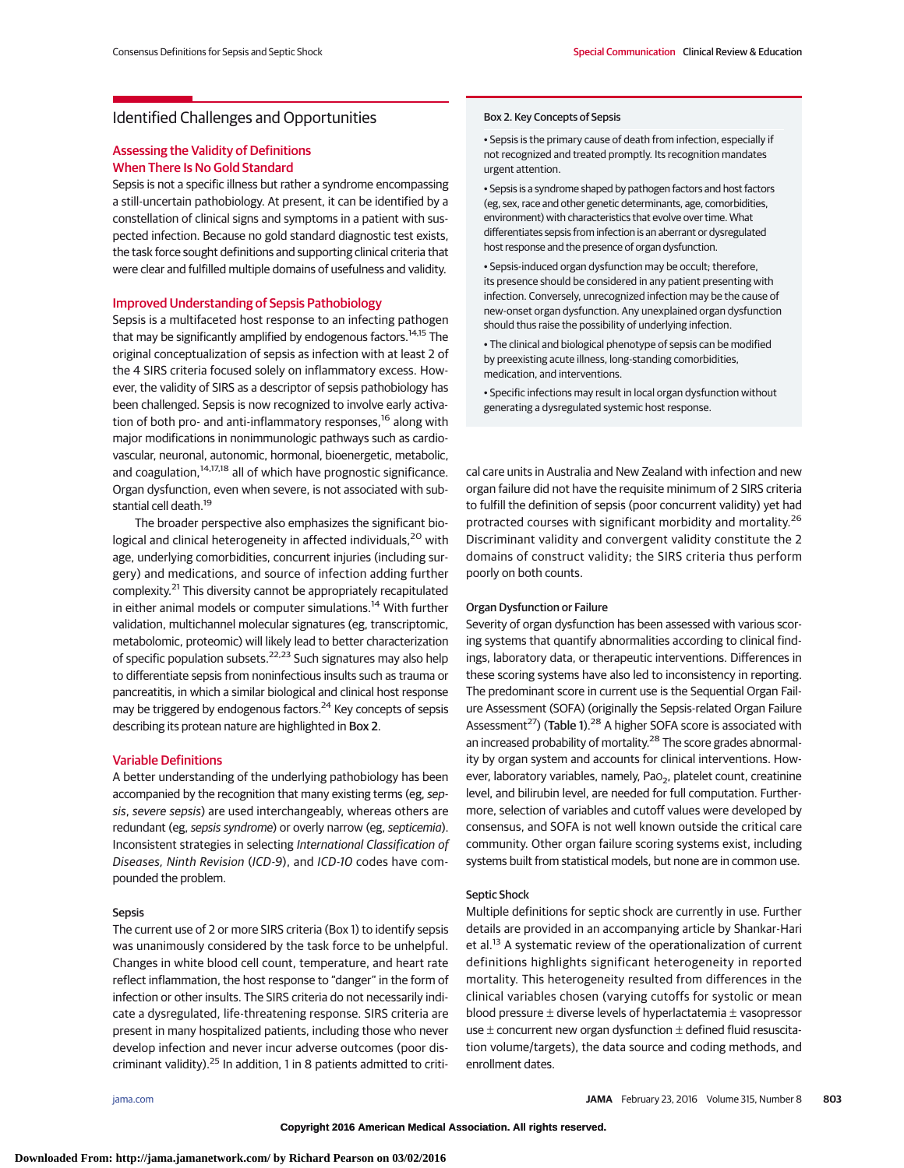# Identified Challenges and Opportunities

# Assessing the Validity of Definitions When There Is No Gold Standard

Sepsis is not a specific illness but rather a syndrome encompassing a still-uncertain pathobiology. At present, it can be identified by a constellation of clinical signs and symptoms in a patient with suspected infection. Because no gold standard diagnostic test exists, the task force sought definitions and supporting clinical criteria that were clear and fulfilled multiple domains of usefulness and validity.

#### Improved Understanding of Sepsis Pathobiology

Sepsis is a multifaceted host response to an infecting pathogen that may be significantly amplified by endogenous factors.<sup>14,15</sup> The original conceptualization of sepsis as infection with at least 2 of the 4 SIRS criteria focused solely on inflammatory excess. However, the validity of SIRS as a descriptor of sepsis pathobiology has been challenged. Sepsis is now recognized to involve early activation of both pro- and anti-inflammatory responses,<sup>16</sup> along with major modifications in nonimmunologic pathways such as cardiovascular, neuronal, autonomic, hormonal, bioenergetic, metabolic, and coagulation,<sup>14,17,18</sup> all of which have prognostic significance. Organ dysfunction, even when severe, is not associated with substantial cell death.<sup>19</sup>

The broader perspective also emphasizes the significant biological and clinical heterogeneity in affected individuals,<sup>20</sup> with age, underlying comorbidities, concurrent injuries (including surgery) and medications, and source of infection adding further complexity.21 This diversity cannot be appropriately recapitulated in either animal models or computer simulations.<sup>14</sup> With further validation, multichannel molecular signatures (eg, transcriptomic, metabolomic, proteomic) will likely lead to better characterization of specific population subsets.<sup>22,23</sup> Such signatures may also help to differentiate sepsis from noninfectious insults such as trauma or pancreatitis, in which a similar biological and clinical host response may be triggered by endogenous factors.<sup>24</sup> Key concepts of sepsis describing its protean nature are highlighted in Box 2.

#### Variable Definitions

A better understanding of the underlying pathobiology has been accompanied by the recognition that many existing terms (eg, sepsis, severe sepsis) are used interchangeably, whereas others are redundant (eg, sepsis syndrome) or overly narrow (eg, septicemia). Inconsistent strategies in selecting International Classification of Diseases, Ninth Revision (ICD-9), and ICD-10 codes have compounded the problem.

#### Sepsis

The current use of 2 or more SIRS criteria (Box 1) to identify sepsis was unanimously considered by the task force to be unhelpful. Changes in white blood cell count, temperature, and heart rate reflect inflammation, the host response to "danger" in the form of infection or other insults. The SIRS criteria do not necessarily indicate a dysregulated, life-threatening response. SIRS criteria are present in many hospitalized patients, including those who never develop infection and never incur adverse outcomes (poor discriminant validity).<sup>25</sup> In addition, 1 in 8 patients admitted to criti-

#### Box 2. Key Concepts of Sepsis

• Sepsis is the primary cause of death from infection, especially if not recognized and treated promptly. Its recognition mandates urgent attention.

• Sepsis is a syndrome shaped by pathogen factors and host factors (eg, sex, race and other genetic determinants, age, comorbidities, environment) with characteristics that evolve over time. What differentiates sepsis from infection is an aberrant or dysregulated host response and the presence of organ dysfunction.

• Sepsis-induced organ dysfunction may be occult; therefore, its presence should be considered in any patient presenting with infection. Conversely, unrecognized infection may be the cause of new-onset organ dysfunction. Any unexplained organ dysfunction should thus raise the possibility of underlying infection.

• The clinical and biological phenotype of sepsis can be modified by preexisting acute illness, long-standing comorbidities, medication, and interventions.

• Specific infections may result in local organ dysfunction without generating a dysregulated systemic host response.

cal care units in Australia and New Zealand with infection and new organ failure did not have the requisite minimum of 2 SIRS criteria to fulfill the definition of sepsis (poor concurrent validity) yet had protracted courses with significant morbidity and mortality.<sup>26</sup> Discriminant validity and convergent validity constitute the 2 domains of construct validity; the SIRS criteria thus perform poorly on both counts.

#### Organ Dysfunction or Failure

Severity of organ dysfunction has been assessed with various scoring systems that quantify abnormalities according to clinical findings, laboratory data, or therapeutic interventions. Differences in these scoring systems have also led to inconsistency in reporting. The predominant score in current use is the Sequential Organ Failure Assessment (SOFA) (originally the Sepsis-related Organ Failure Assessment<sup>27</sup>) (Table 1).<sup>28</sup> A higher SOFA score is associated with an increased probability of mortality.<sup>28</sup> The score grades abnormality by organ system and accounts for clinical interventions. However, laboratory variables, namely, Pao<sub>2</sub>, platelet count, creatinine level, and bilirubin level, are needed for full computation. Furthermore, selection of variables and cutoff values were developed by consensus, and SOFA is not well known outside the critical care community. Other organ failure scoring systems exist, including systems built from statistical models, but none are in common use.

#### Septic Shock

Multiple definitions for septic shock are currently in use. Further details are provided in an accompanying article by Shankar-Hari et al.<sup>13</sup> A systematic review of the operationalization of current definitions highlights significant heterogeneity in reported mortality. This heterogeneity resulted from differences in the clinical variables chosen (varying cutoffs for systolic or mean blood pressure  $\pm$  diverse levels of hyperlactatemia  $\pm$  vasopressor use  $\pm$  concurrent new organ dysfunction  $\pm$  defined fluid resuscitation volume/targets), the data source and coding methods, and enrollment dates.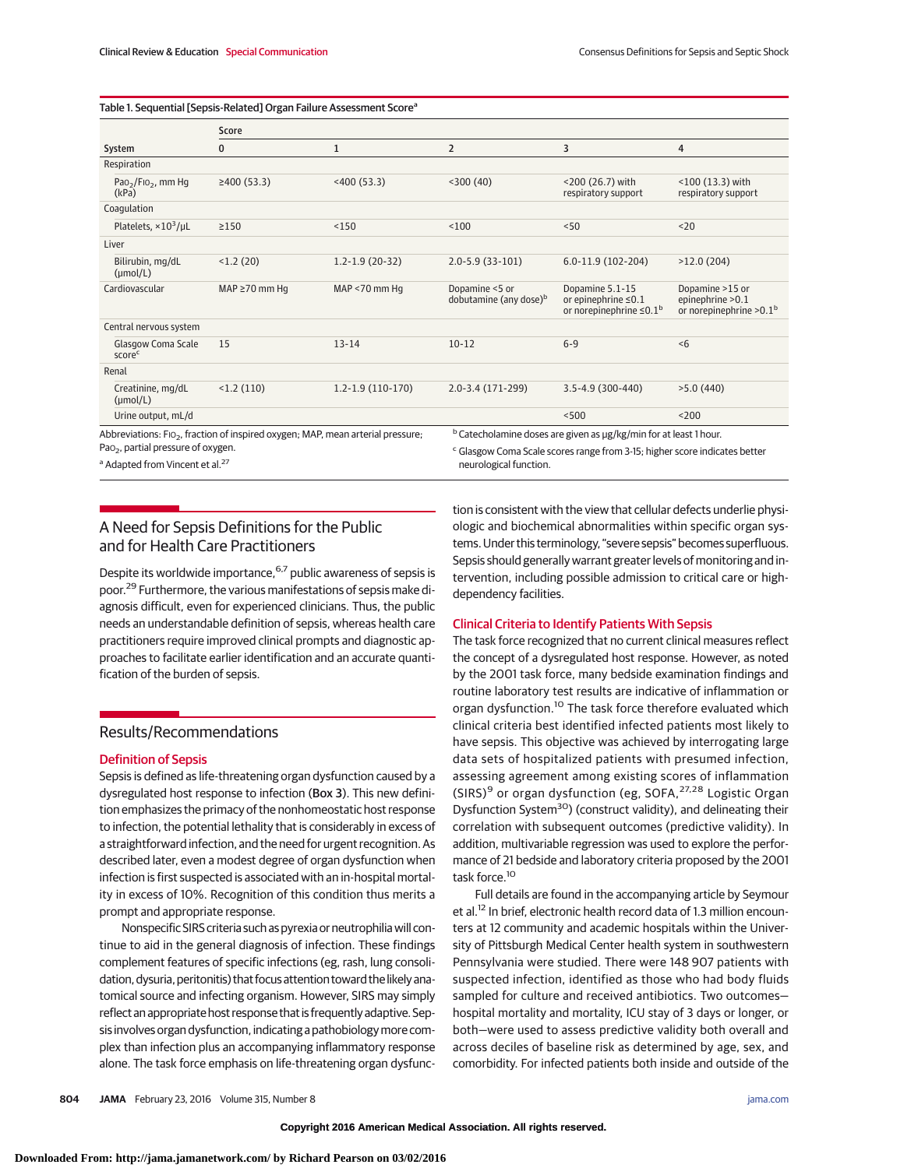| Table 1. Sequential [Sepsis-Related] Organ Failure Assessment Score <sup>a</sup> |  |
|----------------------------------------------------------------------------------|--|
|----------------------------------------------------------------------------------|--|

|                                                                                             | Score               |                                                                                       |                                                      |                                                                                |                                                                    |
|---------------------------------------------------------------------------------------------|---------------------|---------------------------------------------------------------------------------------|------------------------------------------------------|--------------------------------------------------------------------------------|--------------------------------------------------------------------|
| System                                                                                      | $\bf{0}$            | $\mathbf{1}$                                                                          | $\overline{2}$                                       | 3                                                                              | $\overline{4}$                                                     |
| Respiration                                                                                 |                     |                                                                                       |                                                      |                                                                                |                                                                    |
| Pao <sub>2</sub> /F <sub>10</sub> <sub>2</sub> , mm Hg<br>(kPa)                             | ≥400(53.3)          | $<$ 400 $(53.3)$                                                                      | $<$ 300 $(40)$                                       | <200 (26.7) with<br>respiratory support                                        | <100 (13.3) with<br>respiratory support                            |
| Coagulation                                                                                 |                     |                                                                                       |                                                      |                                                                                |                                                                    |
| Platelets, $\times 10^3/\mu L$                                                              | $\geq$ 150          | < 150                                                                                 | < 100                                                | < 50                                                                           | $20$                                                               |
| Liver                                                                                       |                     |                                                                                       |                                                      |                                                                                |                                                                    |
| Bilirubin, mg/dL<br>$(\mu \text{mol/L})$                                                    | <1.2(20)            | $1.2 - 1.9(20 - 32)$                                                                  | $2.0 - 5.9(33 - 101)$                                | $6.0 - 11.9(102 - 204)$                                                        | >12.0(204)                                                         |
| Cardiovascular                                                                              | MAP $\geq$ 70 mm Hq | $MAP < 70$ mm Hq                                                                      | Dopamine <5 or<br>dobutamine (any dose) <sup>b</sup> | Dopamine 5.1-15<br>or epinephrine $\leq 0.1$<br>or norepinephrine $\leq 0.1^b$ | Dopamine > 15 or<br>epinephrine > 0.1<br>or norepinephrine $>0.1b$ |
| Central nervous system                                                                      |                     |                                                                                       |                                                      |                                                                                |                                                                    |
| Glasgow Coma Scale<br>scorec                                                                | 15                  | $13 - 14$                                                                             | $10 - 12$                                            | $6 - 9$                                                                        | < 6                                                                |
| Renal                                                                                       |                     |                                                                                       |                                                      |                                                                                |                                                                    |
| Creatinine, mg/dL<br>$(\mu \text{mol/L})$                                                   | < 1.2(110)          | $1.2 - 1.9(110 - 170)$                                                                | 2.0-3.4 (171-299)                                    | 3.5-4.9 (300-440)                                                              | >5.0(440)                                                          |
| Urine output, mL/d                                                                          |                     |                                                                                       |                                                      | < 500                                                                          | < 200                                                              |
| Abbreviations: FIO <sub>2</sub> , fraction of inspired oxygen; MAP, mean arterial pressure; |                     | <sup>b</sup> Catecholamine doses are given as µg/kg/min for at least 1 hour.          |                                                      |                                                                                |                                                                    |
| Pao <sub>2</sub> , partial pressure of oxygen.                                              |                     | <sup>c</sup> Glasgow Coma Scale scores range from 3-15; higher score indicates better |                                                      |                                                                                |                                                                    |
| <sup>a</sup> Adapted from Vincent et al. <sup>27</sup>                                      |                     |                                                                                       | neurological function.                               |                                                                                |                                                                    |

# A Need for Sepsis Definitions for the Public and for Health Care Practitioners

Despite its worldwide importance.<sup>6,7</sup> public awareness of sepsis is poor.<sup>29</sup> Furthermore, the various manifestations of sepsis make diagnosis difficult, even for experienced clinicians. Thus, the public needs an understandable definition of sepsis, whereas health care practitioners require improved clinical prompts and diagnostic approaches to facilitate earlier identification and an accurate quantification of the burden of sepsis.

## Results/Recommendations

#### Definition of Sepsis

Sepsis is defined as life-threatening organ dysfunction caused by a dysregulated host response to infection (Box 3). This new definition emphasizes the primacy of the nonhomeostatic host response to infection, the potential lethality that is considerably in excess of a straightforward infection, and the need for urgent recognition. As described later, even a modest degree of organ dysfunction when infection is first suspected is associated with an in-hospital mortality in excess of 10%. Recognition of this condition thus merits a prompt and appropriate response.

Nonspecific SIRS criteria such as pyrexia or neutrophilia will continue to aid in the general diagnosis of infection. These findings complement features of specific infections (eg, rash, lung consolidation, dysuria, peritonitis) that focus attention toward the likely anatomical source and infecting organism. However, SIRS may simply reflect an appropriate host response that is frequently adaptive. Sepsis involves organ dysfunction, indicating a pathobiologymore complex than infection plus an accompanying inflammatory response alone. The task force emphasis on life-threatening organ dysfunction is consistent with the view that cellular defects underlie physiologic and biochemical abnormalities within specific organ systems.Under this terminology, "severe sepsis" becomes superfluous. Sepsis should generally warrant greater levels of monitoring and intervention, including possible admission to critical care or highdependency facilities.

### Clinical Criteria to Identify Patients With Sepsis

The task force recognized that no current clinical measures reflect the concept of a dysregulated host response. However, as noted by the 2001 task force, many bedside examination findings and routine laboratory test results are indicative of inflammation or organ dysfunction.<sup>10</sup> The task force therefore evaluated which clinical criteria best identified infected patients most likely to have sepsis. This objective was achieved by interrogating large data sets of hospitalized patients with presumed infection, assessing agreement among existing scores of inflammation (SIRS)<sup>9</sup> or organ dysfunction (eg, SOFA,<sup>27,28</sup> Logistic Organ Dysfunction System<sup>30</sup>) (construct validity), and delineating their correlation with subsequent outcomes (predictive validity). In addition, multivariable regression was used to explore the performance of 21 bedside and laboratory criteria proposed by the 2001 task force.<sup>10</sup>

Full details are found in the accompanying article by Seymour et al.<sup>12</sup> In brief, electronic health record data of 1.3 million encounters at 12 community and academic hospitals within the University of Pittsburgh Medical Center health system in southwestern Pennsylvania were studied. There were 148 907 patients with suspected infection, identified as those who had body fluids sampled for culture and received antibiotics. Two outcomes hospital mortality and mortality, ICU stay of 3 days or longer, or both—were used to assess predictive validity both overall and across deciles of baseline risk as determined by age, sex, and comorbidity. For infected patients both inside and outside of the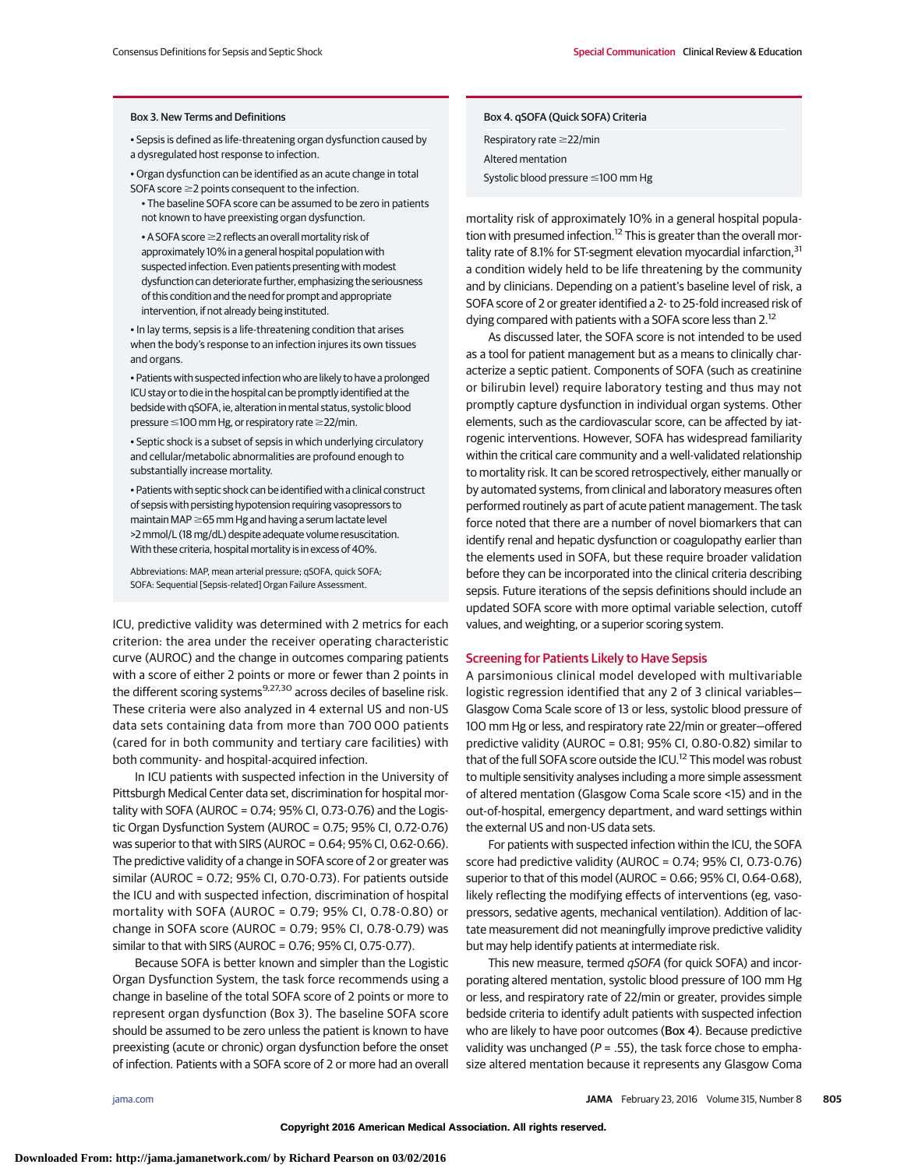#### Box 3. New Terms and Definitions

• Sepsis is defined as life-threatening organ dysfunction caused by a dysregulated host response to infection.

• Organ dysfunction can be identified as an acute change in total SOFA score  $\geq$ 2 points consequent to the infection.

• The baseline SOFA score can be assumed to be zero in patients not known to have preexisting organ dysfunction.

 $\bullet$  A SOFA score  $\geq$ 2 reflects an overall mortality risk of approximately 10% in a general hospital population with suspected infection. Even patients presenting with modest dysfunction can deteriorate further, emphasizing the seriousness of this condition and the need for prompt and appropriate intervention, if not already being instituted.

• In lay terms, sepsis is a life-threatening condition that arises when the body's response to an infection injures its own tissues and organs.

• Patients with suspected infection who are likely to have a prolonged ICU stay or to die in the hospital can be promptly identified at the bedside with qSOFA, ie, alteration in mental status, systolic blood pressure ≤100 mm Hg, or respiratory rate ≥22/min.

• Septic shock is a subset of sepsis in which underlying circulatory and cellular/metabolic abnormalities are profound enough to substantially increase mortality.

• Patients with septic shock can be identified with a clinical construct of sepsis with persisting hypotension requiring vasopressors to  $m$ aintain MAP  $\geq$ 65 mm Hg and having a serum lactate level >2 mmol/L (18 mg/dL) despite adequate volume resuscitation. With these criteria, hospital mortality is in excess of 40%.

Abbreviations: MAP, mean arterial pressure; qSOFA, quick SOFA; SOFA: Sequential [Sepsis-related] Organ Failure Assessment.

ICU, predictive validity was determined with 2 metrics for each criterion: the area under the receiver operating characteristic curve (AUROC) and the change in outcomes comparing patients with a score of either 2 points or more or fewer than 2 points in the different scoring systems<sup>9,27,30</sup> across deciles of baseline risk. These criteria were also analyzed in 4 external US and non-US data sets containing data from more than 700 000 patients (cared for in both community and tertiary care facilities) with both community- and hospital-acquired infection.

In ICU patients with suspected infection in the University of Pittsburgh Medical Center data set, discrimination for hospital mortality with SOFA (AUROC = 0.74; 95% CI, 0.73-0.76) and the Logistic Organ Dysfunction System (AUROC = 0.75; 95% CI, 0.72-0.76) was superior to that with SIRS (AUROC = 0.64; 95% CI, 0.62-0.66). The predictive validity of a change in SOFA score of 2 or greater was similar (AUROC = 0.72; 95% CI, 0.70-0.73). For patients outside the ICU and with suspected infection, discrimination of hospital mortality with SOFA (AUROC = 0.79; 95% CI, 0.78-0.80) or change in SOFA score (AUROC = 0.79; 95% CI, 0.78-0.79) was similar to that with SIRS (AUROC = 0.76; 95% CI, 0.75-0.77).

Because SOFA is better known and simpler than the Logistic Organ Dysfunction System, the task force recommends using a change in baseline of the total SOFA score of 2 points or more to represent organ dysfunction (Box 3). The baseline SOFA score should be assumed to be zero unless the patient is known to have preexisting (acute or chronic) organ dysfunction before the onset of infection. Patients with a SOFA score of 2 or more had an overall Box 4. qSOFA (Quick SOFA) Criteria  $Respiratory$  rate  $\geq$  22/min Altered mentation Systolic blood pressure <100 mm Hg

mortality risk of approximately 10% in a general hospital population with presumed infection.<sup>12</sup> This is greater than the overall mortality rate of 8.1% for ST-segment elevation myocardial infarction,<sup>31</sup> a condition widely held to be life threatening by the community and by clinicians. Depending on a patient's baseline level of risk, a SOFA score of 2 or greater identified a 2- to 25-fold increased risk of dying compared with patients with a SOFA score less than 2.<sup>12</sup>

As discussed later, the SOFA score is not intended to be used as a tool for patient management but as a means to clinically characterize a septic patient. Components of SOFA (such as creatinine or bilirubin level) require laboratory testing and thus may not promptly capture dysfunction in individual organ systems. Other elements, such as the cardiovascular score, can be affected by iatrogenic interventions. However, SOFA has widespread familiarity within the critical care community and a well-validated relationship to mortality risk. It can be scored retrospectively, either manually or by automated systems, from clinical and laboratory measures often performed routinely as part of acute patient management. The task force noted that there are a number of novel biomarkers that can identify renal and hepatic dysfunction or coagulopathy earlier than the elements used in SOFA, but these require broader validation before they can be incorporated into the clinical criteria describing sepsis. Future iterations of the sepsis definitions should include an updated SOFA score with more optimal variable selection, cutoff values, and weighting, or a superior scoring system.

#### Screening for Patients Likely to Have Sepsis

A parsimonious clinical model developed with multivariable logistic regression identified that any 2 of 3 clinical variables— Glasgow Coma Scale score of 13 or less, systolic blood pressure of 100 mm Hg or less, and respiratory rate 22/min or greater—offered predictive validity (AUROC = 0.81; 95% CI, 0.80-0.82) similar to that of the full SOFA score outside the ICU.<sup>12</sup> This model was robust to multiple sensitivity analyses including a more simple assessment of altered mentation (Glasgow Coma Scale score <15) and in the out-of-hospital, emergency department, and ward settings within the external US and non-US data sets.

For patients with suspected infection within the ICU, the SOFA score had predictive validity (AUROC = 0.74; 95% CI, 0.73-0.76) superior to that of this model (AUROC = 0.66; 95% CI, 0.64-0.68), likely reflecting the modifying effects of interventions (eg, vasopressors, sedative agents, mechanical ventilation). Addition of lactate measurement did not meaningfully improve predictive validity but may help identify patients at intermediate risk.

This new measure, termed qSOFA (for quick SOFA) and incorporating altered mentation, systolic blood pressure of 100 mm Hg or less, and respiratory rate of 22/min or greater, provides simple bedside criteria to identify adult patients with suspected infection who are likely to have poor outcomes (Box 4). Because predictive validity was unchanged ( $P = .55$ ), the task force chose to emphasize altered mentation because it represents any Glasgow Coma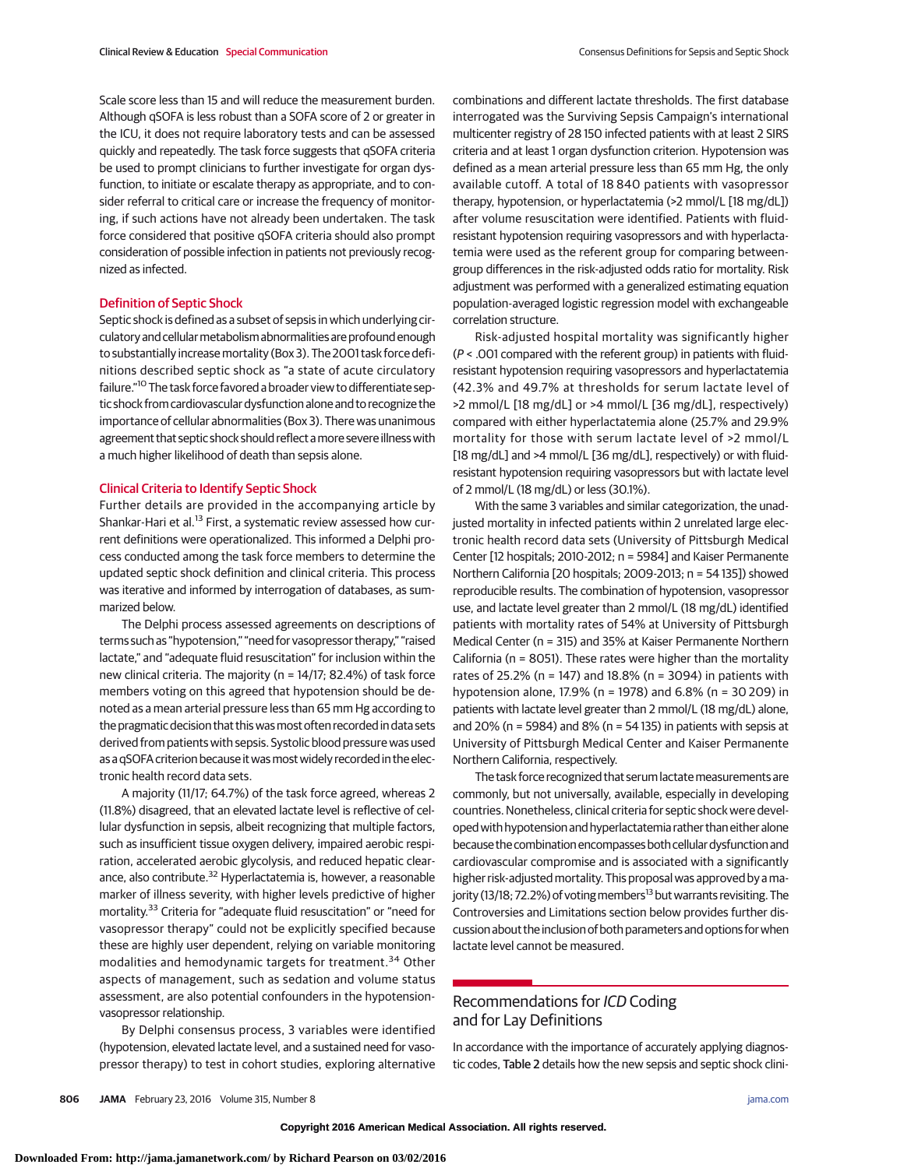Scale score less than 15 and will reduce the measurement burden. Although qSOFA is less robust than a SOFA score of 2 or greater in the ICU, it does not require laboratory tests and can be assessed quickly and repeatedly. The task force suggests that qSOFA criteria be used to prompt clinicians to further investigate for organ dysfunction, to initiate or escalate therapy as appropriate, and to consider referral to critical care or increase the frequency of monitoring, if such actions have not already been undertaken. The task force considered that positive qSOFA criteria should also prompt consideration of possible infection in patients not previously recognized as infected.

#### Definition of Septic Shock

Septic shock is defined as a subset of sepsis in which underlying circulatory and cellular metabolism abnormalities are profound enough to substantially increase mortality (Box 3). The 2001 task force definitions described septic shock as "a state of acute circulatory failure."<sup>10</sup> The task force favored a broader view to differentiate septic shock from cardiovascular dysfunction alone and to recognize the importance of cellular abnormalities (Box 3). There was unanimous agreement that septic shock should reflect a more severe illness with a much higher likelihood of death than sepsis alone.

#### Clinical Criteria to Identify Septic Shock

Further details are provided in the accompanying article by Shankar-Hari et al.<sup>13</sup> First, a systematic review assessed how current definitions were operationalized. This informed a Delphi process conducted among the task force members to determine the updated septic shock definition and clinical criteria. This process was iterative and informed by interrogation of databases, as summarized below.

The Delphi process assessed agreements on descriptions of terms such as "hypotension," "need for vasopressor therapy," "raised lactate," and "adequate fluid resuscitation" for inclusion within the new clinical criteria. The majority (n = 14/17; 82.4%) of task force members voting on this agreed that hypotension should be denoted as a mean arterial pressure less than 65 mm Hg according to the pragmatic decision that this wasmost often recorded in data sets derived from patients with sepsis. Systolic blood pressure was used as a qSOFA criterion because it wasmost widely recorded in the electronic health record data sets.

A majority (11/17; 64.7%) of the task force agreed, whereas 2 (11.8%) disagreed, that an elevated lactate level is reflective of cellular dysfunction in sepsis, albeit recognizing that multiple factors, such as insufficient tissue oxygen delivery, impaired aerobic respiration, accelerated aerobic glycolysis, and reduced hepatic clearance, also contribute.<sup>32</sup> Hyperlactatemia is, however, a reasonable marker of illness severity, with higher levels predictive of higher mortality.33 Criteria for "adequate fluid resuscitation" or "need for vasopressor therapy" could not be explicitly specified because these are highly user dependent, relying on variable monitoring modalities and hemodynamic targets for treatment.<sup>34</sup> Other aspects of management, such as sedation and volume status assessment, are also potential confounders in the hypotensionvasopressor relationship.

By Delphi consensus process, 3 variables were identified (hypotension, elevated lactate level, and a sustained need for vasopressor therapy) to test in cohort studies, exploring alternative combinations and different lactate thresholds. The first database interrogated was the Surviving Sepsis Campaign's international multicenter registry of 28 150 infected patients with at least 2 SIRS criteria and at least 1 organ dysfunction criterion. Hypotension was defined as a mean arterial pressure less than 65 mm Hg, the only available cutoff. A total of 18 840 patients with vasopressor therapy, hypotension, or hyperlactatemia (>2 mmol/L [18 mg/dL]) after volume resuscitation were identified. Patients with fluidresistant hypotension requiring vasopressors and with hyperlactatemia were used as the referent group for comparing betweengroup differences in the risk-adjusted odds ratio for mortality. Risk adjustment was performed with a generalized estimating equation population-averaged logistic regression model with exchangeable correlation structure.

Risk-adjusted hospital mortality was significantly higher (P < .001 compared with the referent group) in patients with fluidresistant hypotension requiring vasopressors and hyperlactatemia (42.3% and 49.7% at thresholds for serum lactate level of >2 mmol/L [18 mg/dL] or >4 mmol/L [36 mg/dL], respectively) compared with either hyperlactatemia alone (25.7% and 29.9% mortality for those with serum lactate level of >2 mmol/L [18 mg/dL] and >4 mmol/L [36 mg/dL], respectively) or with fluidresistant hypotension requiring vasopressors but with lactate level of 2 mmol/L (18 mg/dL) or less (30.1%).

With the same 3 variables and similar categorization, the unadjusted mortality in infected patients within 2 unrelated large electronic health record data sets (University of Pittsburgh Medical Center [12 hospitals; 2010-2012; n = 5984] and Kaiser Permanente Northern California [20 hospitals; 2009-2013; n = 54 135]) showed reproducible results. The combination of hypotension, vasopressor use, and lactate level greater than 2 mmol/L (18 mg/dL) identified patients with mortality rates of 54% at University of Pittsburgh Medical Center (n = 315) and 35% at Kaiser Permanente Northern California (n = 8051). These rates were higher than the mortality rates of 25.2% (n = 147) and 18.8% (n = 3094) in patients with hypotension alone, 17.9% (n = 1978) and 6.8% (n = 30 209) in patients with lactate level greater than 2 mmol/L (18 mg/dL) alone, and 20% (n = 5984) and 8% (n = 54 135) in patients with sepsis at University of Pittsburgh Medical Center and Kaiser Permanente Northern California, respectively.

The task force recognized that serum lactate measurements are commonly, but not universally, available, especially in developing countries. Nonetheless, clinical criteria for septic shock were developedwith hypotension and hyperlactatemia rather thaneither alone because the combinationencompasses both cellular dysfunctionand cardiovascular compromise and is associated with a significantly higher risk-adjusted mortality. This proposal was approved by a majority (13/18; 72.2%) of voting members<sup>13</sup> but warrants revisiting. The Controversies and Limitations section below provides further discussion about the inclusion of both parameters and options forwhen lactate level cannot be measured.

# Recommendations for ICD Coding and for Lay Definitions

In accordance with the importance of accurately applying diagnostic codes, Table 2 details how the new sepsis and septic shock clini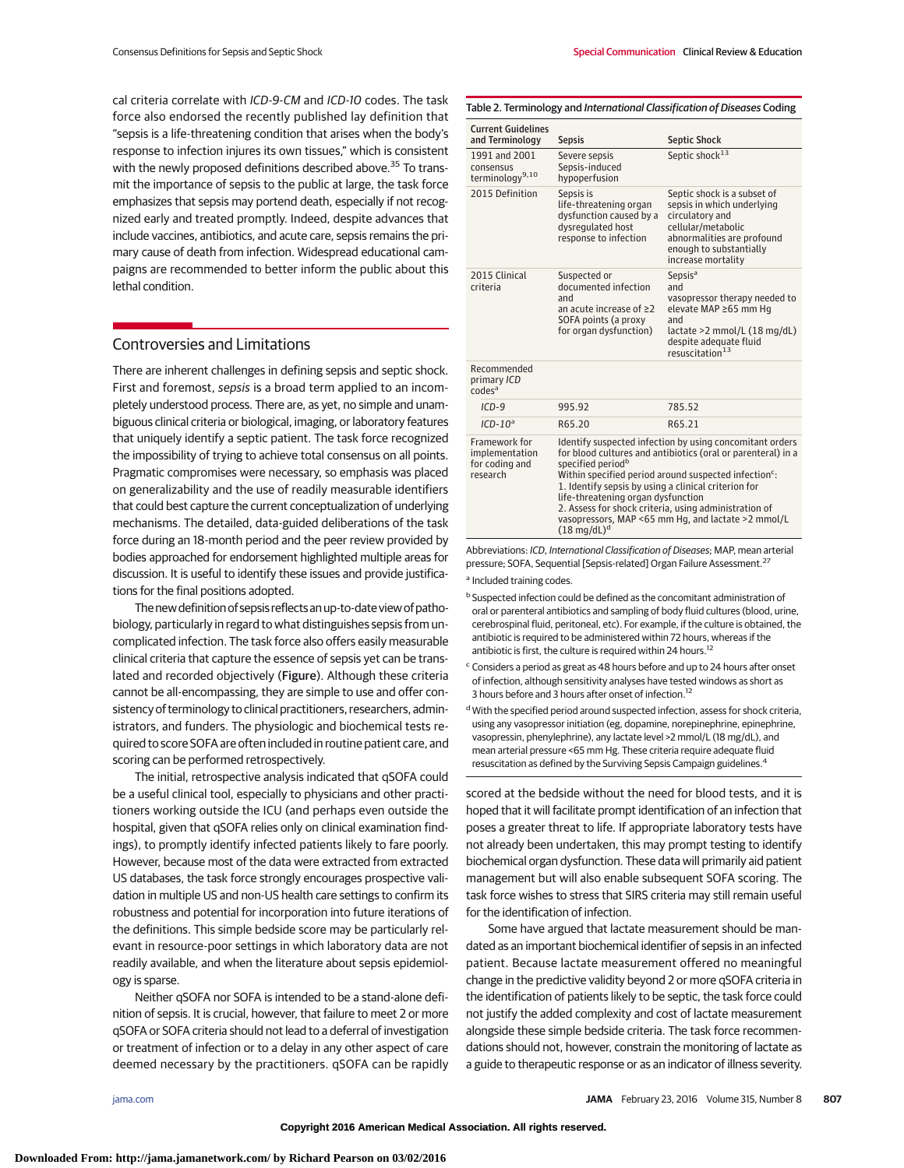cal criteria correlate with ICD-9-CM and ICD-10 codes. The task force also endorsed the recently published lay definition that "sepsis is a life-threatening condition that arises when the body's response to infection injures its own tissues," which is consistent with the newly proposed definitions described above.<sup>35</sup> To transmit the importance of sepsis to the public at large, the task force emphasizes that sepsis may portend death, especially if not recognized early and treated promptly. Indeed, despite advances that include vaccines, antibiotics, and acute care, sepsis remains the primary cause of death from infection. Widespread educational campaigns are recommended to better inform the public about this lethal condition.

# Controversies and Limitations

There are inherent challenges in defining sepsis and septic shock. First and foremost, sepsis is a broad term applied to an incompletely understood process. There are, as yet, no simple and unambiguous clinical criteria or biological, imaging, or laboratory features that uniquely identify a septic patient. The task force recognized the impossibility of trying to achieve total consensus on all points. Pragmatic compromises were necessary, so emphasis was placed on generalizability and the use of readily measurable identifiers that could best capture the current conceptualization of underlying mechanisms. The detailed, data-guided deliberations of the task force during an 18-month period and the peer review provided by bodies approached for endorsement highlighted multiple areas for discussion. It is useful to identify these issues and provide justifications for the final positions adopted.

The new definition of sepsis reflects an up-to-date view of pathobiology, particularly in regard to what distinguishes sepsis from uncomplicated infection. The task force also offers easily measurable clinical criteria that capture the essence of sepsis yet can be translated and recorded objectively (Figure). Although these criteria cannot be all-encompassing, they are simple to use and offer consistency of terminology to clinical practitioners, researchers, administrators, and funders. The physiologic and biochemical tests required to score SOFA are often included in routine patient care, and scoring can be performed retrospectively.

The initial, retrospective analysis indicated that qSOFA could be a useful clinical tool, especially to physicians and other practitioners working outside the ICU (and perhaps even outside the hospital, given that qSOFA relies only on clinical examination findings), to promptly identify infected patients likely to fare poorly. However, because most of the data were extracted from extracted US databases, the task force strongly encourages prospective validation in multiple US and non-US health care settings to confirm its robustness and potential for incorporation into future iterations of the definitions. This simple bedside score may be particularly relevant in resource-poor settings in which laboratory data are not readily available, and when the literature about sepsis epidemiology is sparse.

Neither qSOFA nor SOFA is intended to be a stand-alone definition of sepsis. It is crucial, however, that failure to meet 2 or more qSOFA or SOFA criteria should not lead to a deferral of investigation or treatment of infection or to a delay in any other aspect of care deemed necessary by the practitioners. qSOFA can be rapidly

| <b>Current Guidelines</b><br>and Terminology                  | <b>Sepsis</b>                                                                                                                                                                                                                                                                                                                                                                                                                                                         | <b>Septic Shock</b>                                                                                                                                                                  |  |
|---------------------------------------------------------------|-----------------------------------------------------------------------------------------------------------------------------------------------------------------------------------------------------------------------------------------------------------------------------------------------------------------------------------------------------------------------------------------------------------------------------------------------------------------------|--------------------------------------------------------------------------------------------------------------------------------------------------------------------------------------|--|
| 1991 and 2001<br>consensus<br>terminology <sup>9,10</sup>     | Severe sepsis<br>Sepsis-induced<br>hypoperfusion                                                                                                                                                                                                                                                                                                                                                                                                                      | Septic shock <sup>13</sup>                                                                                                                                                           |  |
| 2015 Definition                                               | Sepsis is<br>life-threatening organ<br>dysfunction caused by a<br>dysregulated host<br>response to infection                                                                                                                                                                                                                                                                                                                                                          | Septic shock is a subset of<br>sepsis in which underlying<br>circulatory and<br>cellular/metabolic<br>abnormalities are profound<br>enough to substantially<br>increase mortality    |  |
| 2015 Clinical<br>criteria                                     | Suspected or<br>documented infection<br>and<br>an acute increase of $\geq$ 2<br>SOFA points (a proxy<br>for organ dysfunction)                                                                                                                                                                                                                                                                                                                                        | Sepsis <sup>a</sup><br>and<br>vasopressor therapy needed to<br>elevate MAP ≥65 mm Hq<br>and<br>lactate >2 mmol/L (18 mg/dL)<br>despite adequate fluid<br>resuscitation <sup>13</sup> |  |
| Recommended<br>primary ICD<br>codes <sup>a</sup>              |                                                                                                                                                                                                                                                                                                                                                                                                                                                                       |                                                                                                                                                                                      |  |
| $ICD-9$                                                       | 995.92                                                                                                                                                                                                                                                                                                                                                                                                                                                                | 785.52                                                                                                                                                                               |  |
| $ICD-10a$                                                     | R65.20                                                                                                                                                                                                                                                                                                                                                                                                                                                                | R65.21                                                                                                                                                                               |  |
| Framework for<br>implementation<br>for coding and<br>research | Identify suspected infection by using concomitant orders<br>for blood cultures and antibiotics (oral or parenteral) in a<br>specified period <sup>b</sup><br>Within specified period around suspected infection <sup>c</sup> :<br>1. Identify sepsis by using a clinical criterion for<br>life-threatening organ dysfunction<br>2. Assess for shock criteria, using administration of<br>vasopressors, MAP <65 mm Hg, and lactate >2 mmol/L<br>$(18 \text{ mg/dL})^d$ |                                                                                                                                                                                      |  |

Table 2. Terminology and International Classification of Diseases Coding

Abbreviations: ICD, International Classification of Diseases; MAP, mean arterial pressure; SOFA, Sequential [Sepsis-related] Organ Failure Assessment.<sup>27</sup>

a Included training codes.

- <sup>b</sup> Suspected infection could be defined as the concomitant administration of oral or parenteral antibiotics and sampling of body fluid cultures (blood, urine, cerebrospinal fluid, peritoneal, etc). For example, if the culture is obtained, the antibiotic is required to be administered within 72 hours, whereas if the antibiotic is first, the culture is required within 24 hours.<sup>12</sup>
- $\epsilon$  Considers a period as great as 48 hours before and up to 24 hours after onset of infection, although sensitivity analyses have tested windows as short as 3 hours before and 3 hours after onset of infection.<sup>12</sup>
- d With the specified period around suspected infection, assess for shock criteria, using any vasopressor initiation (eg, dopamine, norepinephrine, epinephrine, vasopressin, phenylephrine), any lactate level >2 mmol/L (18 mg/dL), and mean arterial pressure <65 mm Hg. These criteria require adequate fluid resuscitation as defined by the Surviving Sepsis Campaign guidelines.4

scored at the bedside without the need for blood tests, and it is hoped that it will facilitate prompt identification of an infection that poses a greater threat to life. If appropriate laboratory tests have not already been undertaken, this may prompt testing to identify biochemical organ dysfunction. These data will primarily aid patient management but will also enable subsequent SOFA scoring. The task force wishes to stress that SIRS criteria may still remain useful for the identification of infection.

Some have argued that lactate measurement should be mandated as an important biochemical identifier of sepsis in an infected patient. Because lactate measurement offered no meaningful change in the predictive validity beyond 2 or more qSOFA criteria in the identification of patients likely to be septic, the task force could not justify the added complexity and cost of lactate measurement alongside these simple bedside criteria. The task force recommendations should not, however, constrain the monitoring of lactate as a guide to therapeutic response or as an indicator of illness severity.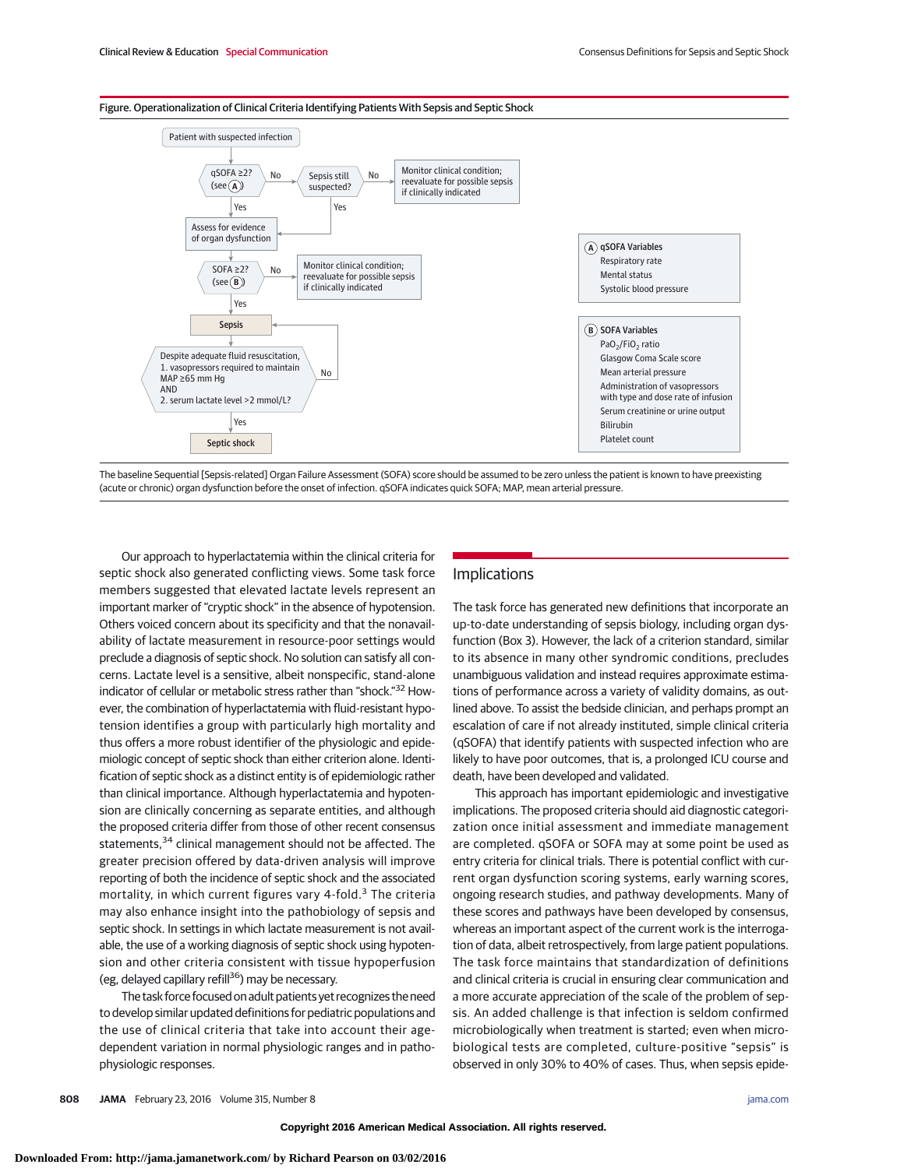#### Figure. Operationalization of Clinical Criteria Identifying Patients With Sepsis and Septic Shock



The baseline Sequential [Sepsis-related] Organ Failure Assessment (SOFA) score should be assumed to be zero unless the patient is known to have preexisting (acute or chronic) organ dysfunction before the onset of infection. qSOFA indicates quick SOFA; MAP, mean arterial pressure.

Our approach to hyperlactatemia within the clinical criteria for septic shock also generated conflicting views. Some task force members suggested that elevated lactate levels represent an important marker of "cryptic shock" in the absence of hypotension. Others voiced concern about its specificity and that the nonavailability of lactate measurement in resource-poor settings would preclude a diagnosis of septic shock. No solution can satisfy all concerns. Lactate level is a sensitive, albeit nonspecific, stand-alone indicator of cellular or metabolic stress rather than "shock."<sup>32</sup> However, the combination of hyperlactatemia with fluid-resistant hypotension identifies a group with particularly high mortality and thus offers a more robust identifier of the physiologic and epidemiologic concept of septic shock than either criterion alone. Identification of septic shock as a distinct entity is of epidemiologic rather than clinical importance. Although hyperlactatemia and hypotension are clinically concerning as separate entities, and although the proposed criteria differ from those of other recent consensus statements,<sup>34</sup> clinical management should not be affected. The greater precision offered by data-driven analysis will improve reporting of both the incidence of septic shock and the associated mortality, in which current figures vary  $4$ -fold.<sup>3</sup> The criteria may also enhance insight into the pathobiology of sepsis and septic shock. In settings in which lactate measurement is not available, the use of a working diagnosis of septic shock using hypotension and other criteria consistent with tissue hypoperfusion (eg, delayed capillary refill<sup>36</sup>) may be necessary.

The task force focused on adult patients yet recognizes the need to develop similar updated definitions for pediatric populations and the use of clinical criteria that take into account their agedependent variation in normal physiologic ranges and in pathophysiologic responses.

## Implications

The task force has generated new definitions that incorporate an up-to-date understanding of sepsis biology, including organ dysfunction (Box 3). However, the lack of a criterion standard, similar to its absence in many other syndromic conditions, precludes unambiguous validation and instead requires approximate estimations of performance across a variety of validity domains, as outlined above. To assist the bedside clinician, and perhaps prompt an escalation of care if not already instituted, simple clinical criteria (qSOFA) that identify patients with suspected infection who are likely to have poor outcomes, that is, a prolonged ICU course and death, have been developed and validated.

This approach has important epidemiologic and investigative implications. The proposed criteria should aid diagnostic categorization once initial assessment and immediate management are completed. qSOFA or SOFA may at some point be used as entry criteria for clinical trials. There is potential conflict with current organ dysfunction scoring systems, early warning scores, ongoing research studies, and pathway developments. Many of these scores and pathways have been developed by consensus, whereas an important aspect of the current work is the interrogation of data, albeit retrospectively, from large patient populations. The task force maintains that standardization of definitions and clinical criteria is crucial in ensuring clear communication and a more accurate appreciation of the scale of the problem of sepsis. An added challenge is that infection is seldom confirmed microbiologically when treatment is started; even when microbiological tests are completed, culture-positive "sepsis" is observed in only 30% to 40% of cases. Thus, when sepsis epide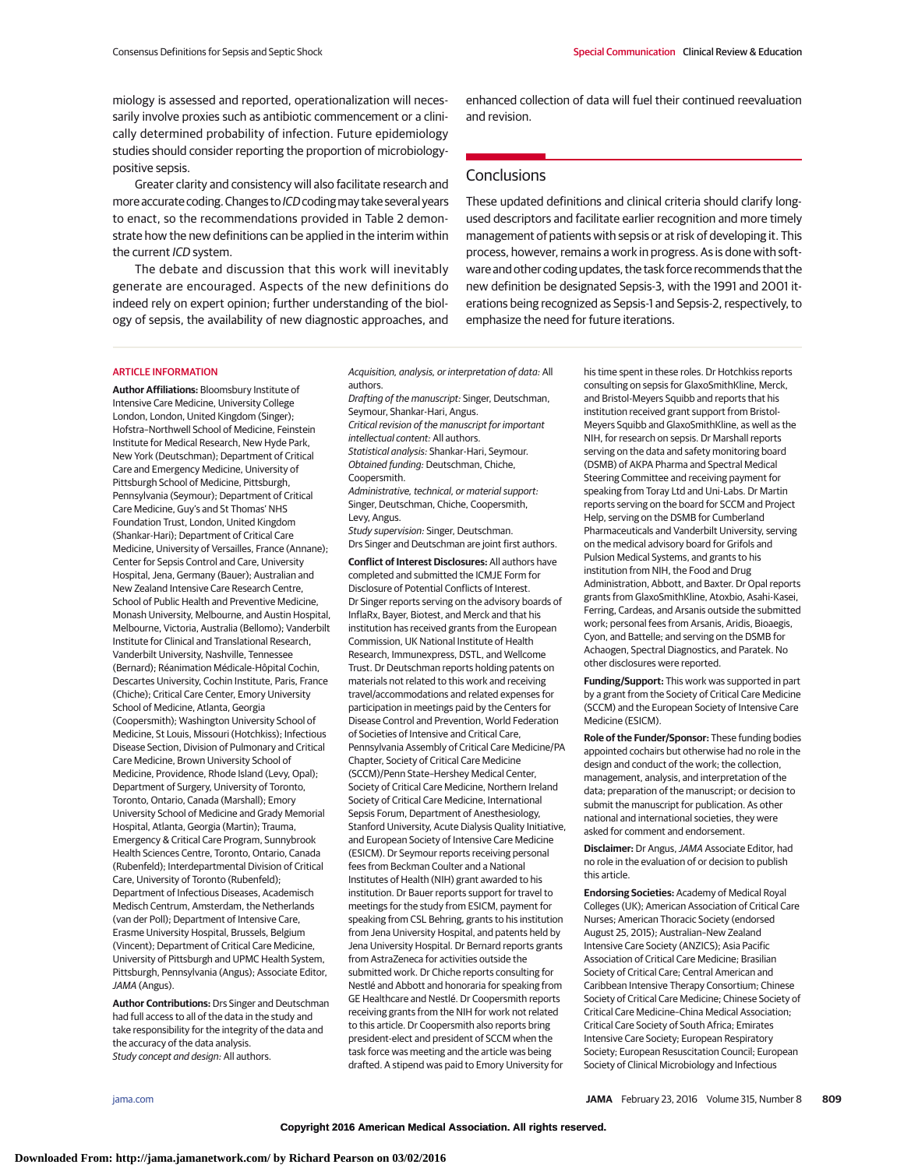miology is assessed and reported, operationalization will necessarily involve proxies such as antibiotic commencement or a clinically determined probability of infection. Future epidemiology studies should consider reporting the proportion of microbiologypositive sepsis.

Greater clarity and consistency will also facilitate research and more accurate coding. Changes to ICD coding may take several years to enact, so the recommendations provided in Table 2 demonstrate how the new definitions can be applied in the interim within the current ICD system.

The debate and discussion that this work will inevitably generate are encouraged. Aspects of the new definitions do indeed rely on expert opinion; further understanding of the biology of sepsis, the availability of new diagnostic approaches, and

enhanced collection of data will fuel their continued reevaluation and revision.

# **Conclusions**

These updated definitions and clinical criteria should clarify longused descriptors and facilitate earlier recognition and more timely management of patients with sepsis or at risk of developing it. This process, however, remains a work in progress. As is done with software and other coding updates, the task force recommends that the new definition be designated Sepsis-3, with the 1991 and 2001 iterations being recognized as Sepsis-1 and Sepsis-2, respectively, to emphasize the need for future iterations.

#### ARTICLE INFORMATION

**Author Affiliations:** Bloomsbury Institute of Intensive Care Medicine, University College London, London, United Kingdom (Singer); Hofstra–Northwell School of Medicine, Feinstein Institute for Medical Research, New Hyde Park, New York (Deutschman); Department of Critical Care and Emergency Medicine, University of Pittsburgh School of Medicine, Pittsburgh, Pennsylvania (Seymour); Department of Critical Care Medicine, Guy's and St Thomas' NHS Foundation Trust, London, United Kingdom (Shankar-Hari); Department of Critical Care Medicine, University of Versailles, France (Annane); Center for Sepsis Control and Care, University Hospital, Jena, Germany (Bauer); Australian and New Zealand Intensive Care Research Centre, School of Public Health and Preventive Medicine, Monash University, Melbourne, and Austin Hospital, Melbourne, Victoria, Australia (Bellomo); Vanderbilt Institute for Clinical and Translational Research, Vanderbilt University, Nashville, Tennessee (Bernard); Réanimation Médicale-Hôpital Cochin, Descartes University, Cochin Institute, Paris, France (Chiche); Critical Care Center, Emory University School of Medicine, Atlanta, Georgia (Coopersmith); Washington University School of Medicine, St Louis, Missouri (Hotchkiss); Infectious Disease Section, Division of Pulmonary and Critical Care Medicine, Brown University School of Medicine, Providence, Rhode Island (Levy, Opal); Department of Surgery, University of Toronto, Toronto, Ontario, Canada (Marshall); Emory University School of Medicine and Grady Memorial Hospital, Atlanta, Georgia (Martin); Trauma, Emergency & Critical Care Program, Sunnybrook Health Sciences Centre, Toronto, Ontario, Canada (Rubenfeld); Interdepartmental Division of Critical Care, University of Toronto (Rubenfeld); Department of Infectious Diseases, Academisch Medisch Centrum, Amsterdam, the Netherlands (van der Poll); Department of Intensive Care, Erasme University Hospital, Brussels, Belgium (Vincent); Department of Critical Care Medicine, University of Pittsburgh and UPMC Health System, Pittsburgh, Pennsylvania (Angus); Associate Editor, JAMA (Angus).

**Author Contributions:** Drs Singer and Deutschman had full access to all of the data in the study and take responsibility for the integrity of the data and the accuracy of the data analysis. Study concept and design: All authors.

Acquisition, analysis, or interpretation of data: All authors.

Drafting of the manuscript: Singer, Deutschman, Seymour, Shankar-Hari, Angus. Critical revision of the manuscript for important intellectual content: All authors. Statistical analysis: Shankar-Hari, Seymour. Obtained funding: Deutschman, Chiche, Coopersmith.

Administrative, technical, or material support: Singer, Deutschman, Chiche, Coopersmith, Levy, Angus.

Study supervision: Singer, Deutschman. Drs Singer and Deutschman are joint first authors.

**Conflict of Interest Disclosures:** All authors have completed and submitted the ICMJE Form for Disclosure of Potential Conflicts of Interest. Dr Singer reports serving on the advisory boards of InflaRx, Bayer, Biotest, and Merck and that his institution has received grants from the European Commission, UK National Institute of Health Research, Immunexpress, DSTL, and Wellcome Trust. Dr Deutschman reports holding patents on materials not related to this work and receiving travel/accommodations and related expenses for participation in meetings paid by the Centers for Disease Control and Prevention, World Federation of Societies of Intensive and Critical Care, Pennsylvania Assembly of Critical Care Medicine/PA Chapter, Society of Critical Care Medicine (SCCM)/Penn State–Hershey Medical Center, Society of Critical Care Medicine, Northern Ireland Society of Critical Care Medicine, International Sepsis Forum, Department of Anesthesiology, Stanford University, Acute Dialysis Quality Initiative, and European Society of Intensive Care Medicine (ESICM). Dr Seymour reports receiving personal fees from Beckman Coulter and a National Institutes of Health (NIH) grant awarded to his institution. Dr Bauer reports support for travel to meetings for the study from ESICM, payment for speaking from CSL Behring, grants to his institution from Jena University Hospital, and patents held by Jena University Hospital. Dr Bernard reports grants from AstraZeneca for activities outside the submitted work. Dr Chiche reports consulting for Nestlé and Abbott and honoraria for speaking from GE Healthcare and Nestlé. Dr Coopersmith reports receiving grants from the NIH for work not related to this article. Dr Coopersmith also reports bring president-elect and president of SCCM when the task force was meeting and the article was being drafted. A stipend was paid to Emory University for

his time spent in these roles. Dr Hotchkiss reports consulting on sepsis for GlaxoSmithKline, Merck, and Bristol-Meyers Squibb and reports that his institution received grant support from Bristol-Meyers Squibb and GlaxoSmithKline, as well as the NIH, for research on sepsis. Dr Marshall reports serving on the data and safety monitoring board (DSMB) of AKPA Pharma and Spectral Medical Steering Committee and receiving payment for speaking from Toray Ltd and Uni-Labs. Dr Martin reports serving on the board for SCCM and Project Help, serving on the DSMB for Cumberland Pharmaceuticals and Vanderbilt University, serving on the medical advisory board for Grifols and Pulsion Medical Systems, and grants to his institution from NIH, the Food and Drug Administration, Abbott, and Baxter. Dr Opal reports grants from GlaxoSmithKline, Atoxbio, Asahi-Kasei, Ferring, Cardeas, and Arsanis outside the submitted work; personal fees from Arsanis, Aridis, Bioaegis, Cyon, and Battelle; and serving on the DSMB for Achaogen, Spectral Diagnostics, and Paratek. No other disclosures were reported.

**Funding/Support:** This work was supported in part by a grant from the Society of Critical Care Medicine (SCCM) and the European Society of Intensive Care Medicine (ESICM).

**Role of the Funder/Sponsor:** These funding bodies appointed cochairs but otherwise had no role in the design and conduct of the work; the collection, management, analysis, and interpretation of the data; preparation of the manuscript; or decision to submit the manuscript for publication. As other national and international societies, they were asked for comment and endorsement.

**Disclaimer:** Dr Angus, JAMA Associate Editor, had no role in the evaluation of or decision to publish this article.

**Endorsing Societies:** Academy of Medical Royal Colleges (UK); American Association of Critical Care Nurses; American Thoracic Society (endorsed August 25, 2015); Australian–New Zealand Intensive Care Society (ANZICS); Asia Pacific Association of Critical Care Medicine; Brasilian Society of Critical Care; Central American and Caribbean Intensive Therapy Consortium; Chinese Society of Critical Care Medicine; Chinese Society of Critical Care Medicine–China Medical Association; Critical Care Society of South Africa; Emirates Intensive Care Society; European Respiratory Society; European Resuscitation Council; European Society of Clinical Microbiology and Infectious